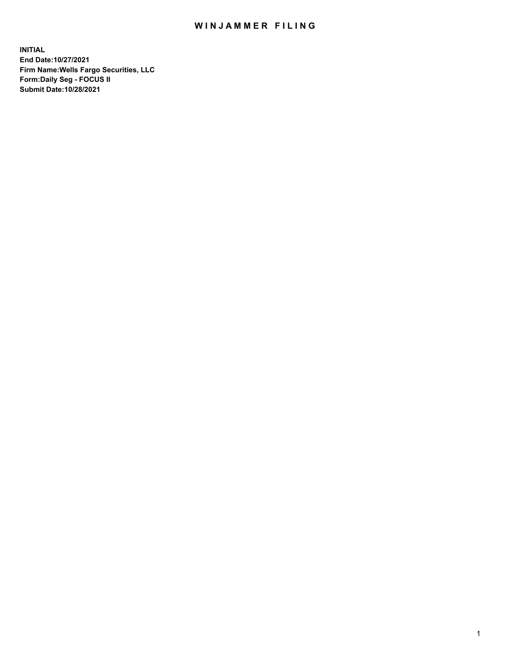## WIN JAMMER FILING

**INITIAL End Date:10/27/2021 Firm Name:Wells Fargo Securities, LLC Form:Daily Seg - FOCUS II Submit Date:10/28/2021**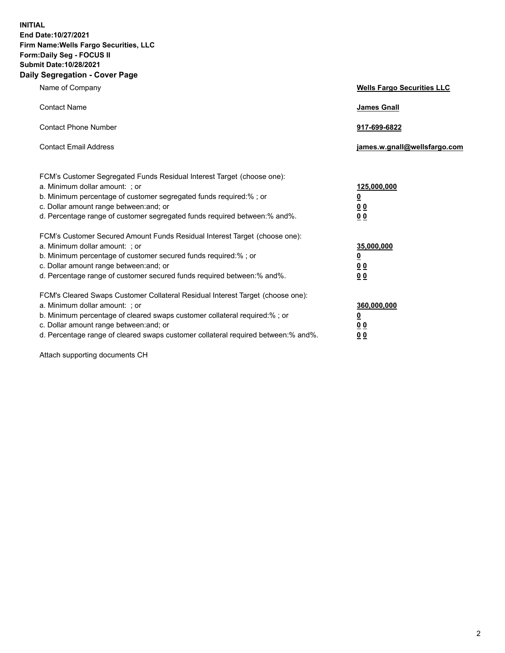**INITIAL End Date:10/27/2021 Firm Name:Wells Fargo Securities, LLC Form:Daily Seg - FOCUS II Submit Date:10/28/2021 Daily Segregation - Cover Page**

| Name of Company                                                                                                                                                                                                                                                                                                                | <b>Wells Fargo Securities LLC</b>                          |
|--------------------------------------------------------------------------------------------------------------------------------------------------------------------------------------------------------------------------------------------------------------------------------------------------------------------------------|------------------------------------------------------------|
| <b>Contact Name</b>                                                                                                                                                                                                                                                                                                            | <b>James Gnall</b>                                         |
| <b>Contact Phone Number</b>                                                                                                                                                                                                                                                                                                    | 917-699-6822                                               |
| <b>Contact Email Address</b>                                                                                                                                                                                                                                                                                                   | james.w.gnall@wellsfargo.com                               |
| FCM's Customer Segregated Funds Residual Interest Target (choose one):<br>a. Minimum dollar amount: ; or<br>b. Minimum percentage of customer segregated funds required:% ; or<br>c. Dollar amount range between: and; or<br>d. Percentage range of customer segregated funds required between: % and %.                       | 125,000,000<br><u>0</u><br><u>00</u><br>0 <sub>0</sub>     |
| FCM's Customer Secured Amount Funds Residual Interest Target (choose one):<br>a. Minimum dollar amount: ; or<br>b. Minimum percentage of customer secured funds required:% ; or<br>c. Dollar amount range between: and; or<br>d. Percentage range of customer secured funds required between: % and %.                         | 35,000,000<br><u>0</u><br>0 <sub>0</sub><br>0 <sub>0</sub> |
| FCM's Cleared Swaps Customer Collateral Residual Interest Target (choose one):<br>a. Minimum dollar amount: ; or<br>b. Minimum percentage of cleared swaps customer collateral required:% ; or<br>c. Dollar amount range between: and; or<br>d. Percentage range of cleared swaps customer collateral required between:% and%. | 360,000,000<br><u>0</u><br>00<br><u>00</u>                 |

Attach supporting documents CH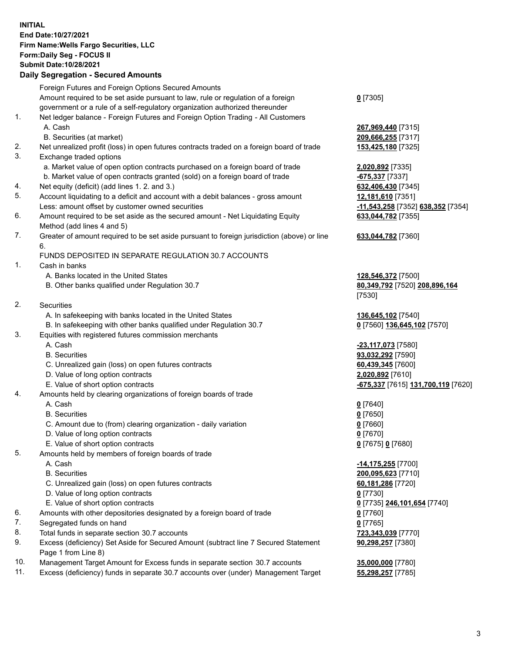**INITIAL End Date:10/27/2021 Firm Name:Wells Fargo Securities, LLC Form:Daily Seg - FOCUS II Submit Date:10/28/2021**

## **Daily Segregation - Secured Amounts**

|                | Foreign Futures and Foreign Options Secured Amounts                                         |                                    |
|----------------|---------------------------------------------------------------------------------------------|------------------------------------|
|                | Amount required to be set aside pursuant to law, rule or regulation of a foreign            | $0$ [7305]                         |
|                | government or a rule of a self-regulatory organization authorized thereunder                |                                    |
| 1.             | Net ledger balance - Foreign Futures and Foreign Option Trading - All Customers             |                                    |
|                | A. Cash                                                                                     | 267,969,440 [7315]                 |
|                | B. Securities (at market)                                                                   | 209,666,255 [7317]                 |
| 2.             | Net unrealized profit (loss) in open futures contracts traded on a foreign board of trade   | 153,425,180 [7325]                 |
| 3.             | Exchange traded options                                                                     |                                    |
|                | a. Market value of open option contracts purchased on a foreign board of trade              | 2,020,892 [7335]                   |
|                | b. Market value of open contracts granted (sold) on a foreign board of trade                | -675,337 [7337]                    |
| 4.             | Net equity (deficit) (add lines 1. 2. and 3.)                                               | 632,406,430 [7345]                 |
| 5.             | Account liquidating to a deficit and account with a debit balances - gross amount           | 12,181,610 [7351]                  |
|                | Less: amount offset by customer owned securities                                            | -11,543,258 [7352] 638,352 [7354]  |
| 6.             | Amount required to be set aside as the secured amount - Net Liquidating Equity              | 633,044,782 [7355]                 |
|                | Method (add lines 4 and 5)                                                                  |                                    |
| 7.             | Greater of amount required to be set aside pursuant to foreign jurisdiction (above) or line | 633,044,782 [7360]                 |
|                | 6.                                                                                          |                                    |
|                | FUNDS DEPOSITED IN SEPARATE REGULATION 30.7 ACCOUNTS                                        |                                    |
| 1.             | Cash in banks                                                                               |                                    |
|                | A. Banks located in the United States                                                       | 128,546,372 [7500]                 |
|                | B. Other banks qualified under Regulation 30.7                                              | 80,349,792 [7520] 208,896,164      |
|                |                                                                                             | [7530]                             |
| 2.             | <b>Securities</b>                                                                           |                                    |
|                | A. In safekeeping with banks located in the United States                                   | 136,645,102 [7540]                 |
|                | B. In safekeeping with other banks qualified under Regulation 30.7                          | 0 [7560] 136,645,102 [7570]        |
| 3.             | Equities with registered futures commission merchants                                       |                                    |
|                | A. Cash                                                                                     | -23,117,073 [7580]                 |
|                | <b>B.</b> Securities                                                                        | 93,032,292 [7590]                  |
|                | C. Unrealized gain (loss) on open futures contracts                                         | 60,439,345 [7600]                  |
|                | D. Value of long option contracts                                                           | 2,020,892 [7610]                   |
|                | E. Value of short option contracts                                                          | -675,337 [7615] 131,700,119 [7620] |
| 4.             | Amounts held by clearing organizations of foreign boards of trade                           |                                    |
|                | A. Cash                                                                                     | $0$ [7640]                         |
|                | <b>B.</b> Securities                                                                        | $0$ [7650]                         |
|                | C. Amount due to (from) clearing organization - daily variation                             | $0$ [7660]                         |
|                | D. Value of long option contracts                                                           | $0$ [7670]                         |
| 5.             | E. Value of short option contracts                                                          | 0 [7675] 0 [7680]                  |
|                | Amounts held by members of foreign boards of trade                                          |                                    |
|                | A. Cash                                                                                     | <u>-14,175,255</u> [7700]          |
|                | <b>B.</b> Securities                                                                        | 200,095,623 [7710]                 |
|                | C. Unrealized gain (loss) on open futures contracts                                         | 60,181,286 [7720]                  |
|                | D. Value of long option contracts                                                           | $0$ [7730]                         |
|                | E. Value of short option contracts                                                          | 0 [7735] 246,101,654 [7740]        |
| 6.             | Amounts with other depositories designated by a foreign board of trade                      | $0$ [7760]                         |
| 7.             | Segregated funds on hand                                                                    | $0$ [7765]                         |
| 8.<br>9.       | Total funds in separate section 30.7 accounts                                               | 723,343,039 [7770]                 |
|                | Excess (deficiency) Set Aside for Secured Amount (subtract line 7 Secured Statement         | 90,298,257 [7380]                  |
| $\overline{A}$ | Page 1 from Line 8)                                                                         | 57700<br>$\cdots$                  |

- 10. Management Target Amount for Excess funds in separate section 30.7 accounts **35,000,000** [7780]
- 11. Excess (deficiency) funds in separate 30.7 accounts over (under) Management Target **55,298,257** [7785]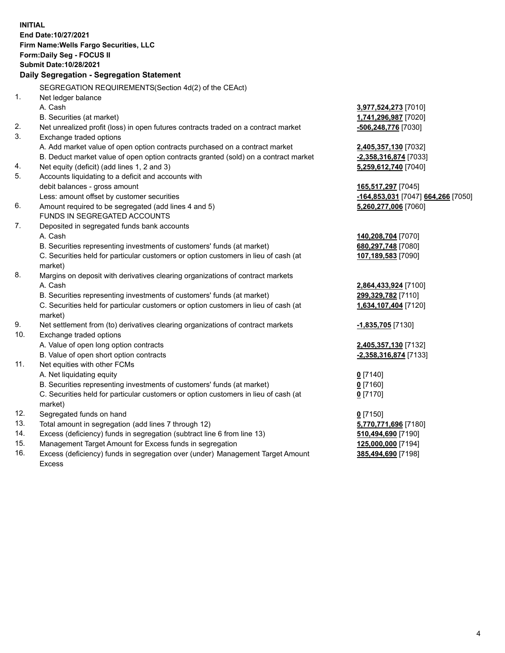**INITIAL End Date:10/27/2021 Firm Name:Wells Fargo Securities, LLC Form:Daily Seg - FOCUS II Submit Date:10/28/2021 Daily Segregation - Segregation Statement** SEGREGATION REQUIREMENTS(Section 4d(2) of the CEAct) 1. Net ledger balance A. Cash **3,977,524,273** [7010] B. Securities (at market) **1,741,296,987** [7020] 2. Net unrealized profit (loss) in open futures contracts traded on a contract market **-506,248,776** [7030] 3. Exchange traded options A. Add market value of open option contracts purchased on a contract market **2,405,357,130** [7032] B. Deduct market value of open option contracts granted (sold) on a contract market **-2,358,316,874** [7033] 4. Net equity (deficit) (add lines 1, 2 and 3) **5,259,612,740** [7040] 5. Accounts liquidating to a deficit and accounts with debit balances - gross amount **165,517,297** [7045] Less: amount offset by customer securities **-164,853,031** [7047] **664,266** [7050] 6. Amount required to be segregated (add lines 4 and 5) **5,260,277,006** [7060] FUNDS IN SEGREGATED ACCOUNTS 7. Deposited in segregated funds bank accounts A. Cash **140,208,704** [7070] B. Securities representing investments of customers' funds (at market) **680,297,748** [7080] C. Securities held for particular customers or option customers in lieu of cash (at market) **107,189,583** [7090] 8. Margins on deposit with derivatives clearing organizations of contract markets A. Cash **2,864,433,924** [7100] B. Securities representing investments of customers' funds (at market) **299,329,782** [7110] C. Securities held for particular customers or option customers in lieu of cash (at market) **1,634,107,404** [7120] 9. Net settlement from (to) derivatives clearing organizations of contract markets **-1,835,705** [7130] 10. Exchange traded options A. Value of open long option contracts **2,405,357,130** [7132] B. Value of open short option contracts **-2,358,316,874** [7133] 11. Net equities with other FCMs A. Net liquidating equity **0** [7140] B. Securities representing investments of customers' funds (at market) **0** [7160] C. Securities held for particular customers or option customers in lieu of cash (at market) **0** [7170] 12. Segregated funds on hand **0** [7150] 13. Total amount in segregation (add lines 7 through 12) **5,770,771,696** [7180] 14. Excess (deficiency) funds in segregation (subtract line 6 from line 13) **510,494,690** [7190] 15. Management Target Amount for Excess funds in segregation **125,000,000** [7194] 16. Excess (deficiency) funds in segregation over (under) Management Target Amount **385,494,690** [7198]

Excess